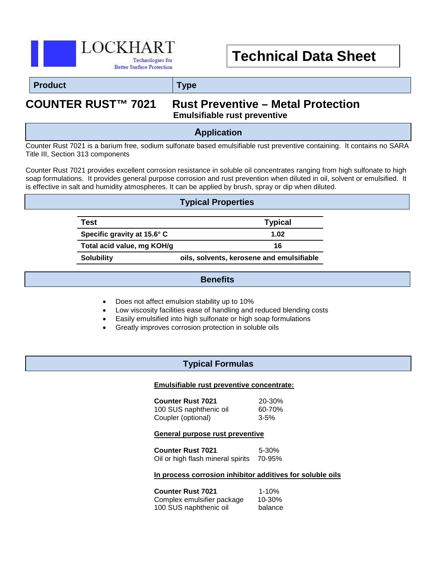

# **Technical Data Sheet**

#### **Product Type**

# **COUNTER RUST™ 7021 Rust Preventive – Metal Protection Emulsifiable rust preventive**

### **Application**

Counter Rust 7021 is a barium free, sodium sulfonate based emulsifiable rust preventive containing. It contains no SARA Title III, Section 313 components

Counter Rust 7021 provides excellent corrosion resistance in soluble oil concentrates ranging from high sulfonate to high soap formulations. It provides general purpose corrosion and rust prevention when diluted in oil, solvent or emulsified. It is effective in salt and humidity atmospheres. It can be applied by brush, spray or dip when diluted.

#### **Typical Properties**

| Test                        | <b>Typical</b>                            |
|-----------------------------|-------------------------------------------|
| Specific gravity at 15.6° C | 1.02                                      |
| Total acid value, mg KOH/g  | 16                                        |
| <b>Solubility</b>           | oils, solvents, kerosene and emulsifiable |

#### **Benefits**

- Does not affect emulsion stability up to 10%
- Low viscosity facilities ease of handling and reduced blending costs
- Easily emulsified into high sulfonate or high soap formulations
- Greatly improves corrosion protection in soluble oils

#### **Typical Formulas**

#### **Emulsifiable rust preventive concentrate:**

**Counter Rust 7021** 20-30% 100 SUS naphthenic oil 60-70% Coupler (optional) 3-5%

#### **General purpose rust preventive**

**Counter Rust 7021** 5-30% Oil or high flash mineral spirits 70-95%

#### **In process corrosion inhibitor additives for soluble oils**

**Counter Rust 7021** 1-10% Complex emulsifier package 10-30% 100 SUS naphthenic oil balance